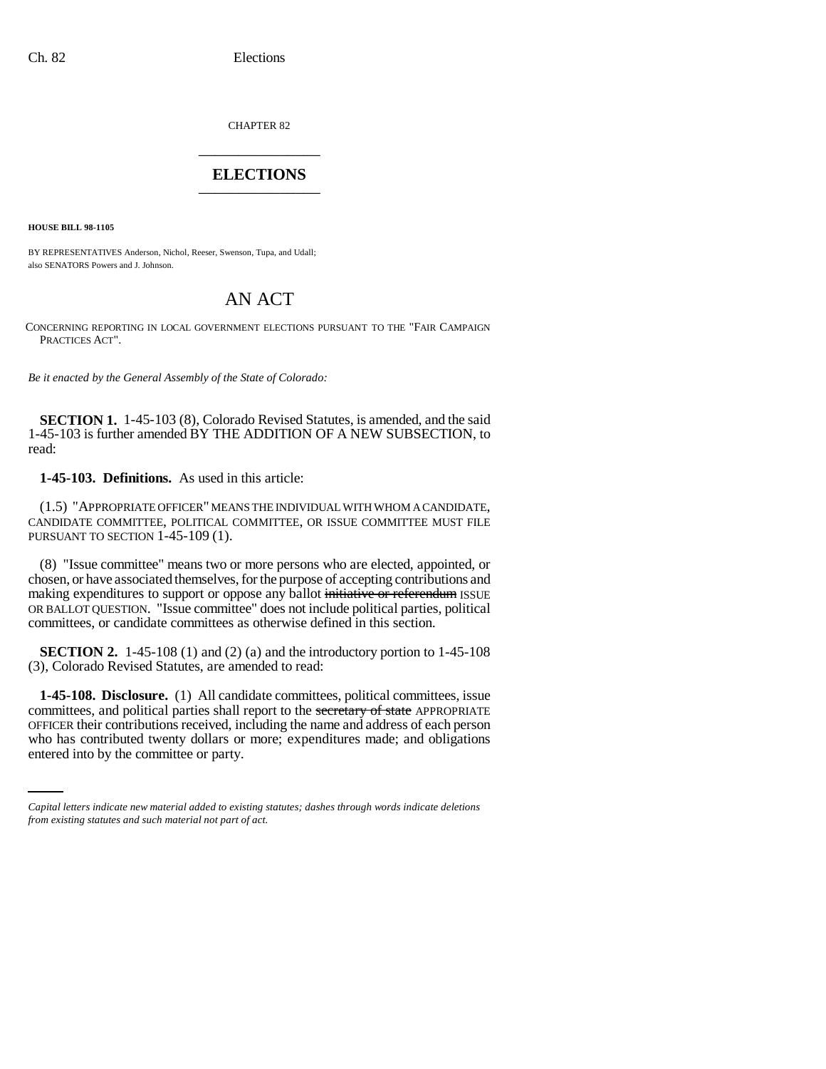CHAPTER 82 \_\_\_\_\_\_\_\_\_\_\_\_\_\_\_

## **ELECTIONS** \_\_\_\_\_\_\_\_\_\_\_\_\_\_\_

**HOUSE BILL 98-1105**

BY REPRESENTATIVES Anderson, Nichol, Reeser, Swenson, Tupa, and Udall; also SENATORS Powers and J. Johnson.

## AN ACT

CONCERNING REPORTING IN LOCAL GOVERNMENT ELECTIONS PURSUANT TO THE "FAIR CAMPAIGN PRACTICES ACT".

*Be it enacted by the General Assembly of the State of Colorado:*

**SECTION 1.** 1-45-103 (8), Colorado Revised Statutes, is amended, and the said 1-45-103 is further amended BY THE ADDITION OF A NEW SUBSECTION, to read:

## **1-45-103. Definitions.** As used in this article:

(1.5) "APPROPRIATE OFFICER" MEANS THE INDIVIDUAL WITH WHOM A CANDIDATE, CANDIDATE COMMITTEE, POLITICAL COMMITTEE, OR ISSUE COMMITTEE MUST FILE PURSUANT TO SECTION 1-45-109 (1).

(8) "Issue committee" means two or more persons who are elected, appointed, or chosen, or have associated themselves, for the purpose of accepting contributions and making expenditures to support or oppose any ballot initiative or referendum ISSUE OR BALLOT QUESTION. "Issue committee" does not include political parties, political committees, or candidate committees as otherwise defined in this section.

**SECTION 2.** 1-45-108 (1) and (2) (a) and the introductory portion to 1-45-108 (3), Colorado Revised Statutes, are amended to read:

OFFICER their contributions received, including the name and address of each person **1-45-108. Disclosure.** (1) All candidate committees, political committees, issue committees, and political parties shall report to the secretary of state APPROPRIATE who has contributed twenty dollars or more; expenditures made; and obligations entered into by the committee or party.

*Capital letters indicate new material added to existing statutes; dashes through words indicate deletions from existing statutes and such material not part of act.*